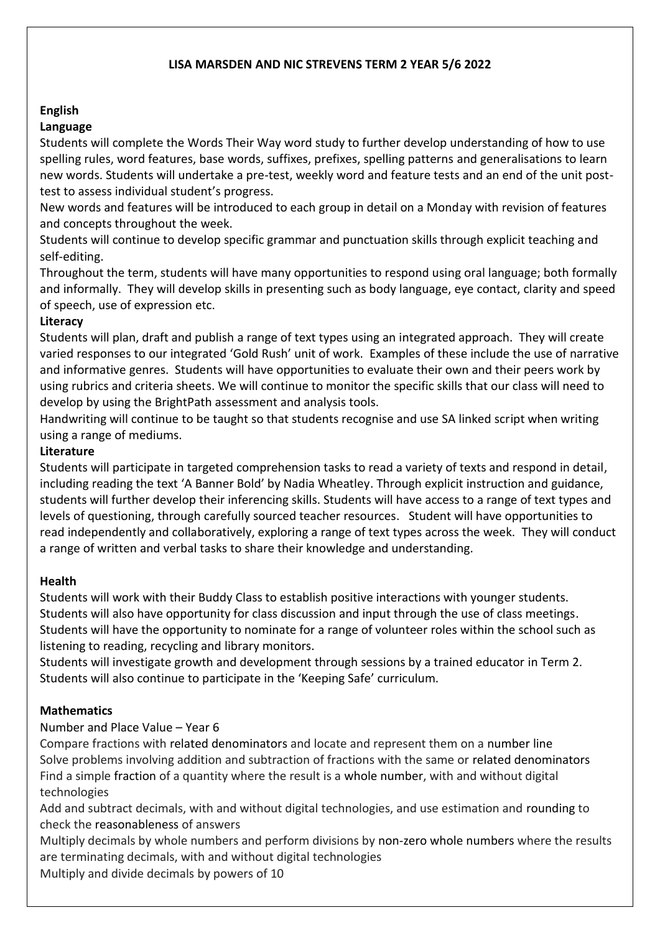## **LISA MARSDEN AND NIC STREVENS TERM 2 YEAR 5/6 2022**

# **English**

## **Language**

Students will complete the Words Their Way word study to further develop understanding of how to use spelling rules, word features, base words, suffixes, prefixes, spelling patterns and generalisations to learn new words. Students will undertake a pre-test, weekly word and feature tests and an end of the unit posttest to assess individual student's progress.

New words and features will be introduced to each group in detail on a Monday with revision of features and concepts throughout the week.

Students will continue to develop specific grammar and punctuation skills through explicit teaching and self-editing.

Throughout the term, students will have many opportunities to respond using oral language; both formally and informally. They will develop skills in presenting such as body language, eye contact, clarity and speed of speech, use of expression etc.

#### **Literacy**

Students will plan, draft and publish a range of text types using an integrated approach. They will create varied responses to our integrated 'Gold Rush' unit of work. Examples of these include the use of narrative and informative genres. Students will have opportunities to evaluate their own and their peers work by using rubrics and criteria sheets. We will continue to monitor the specific skills that our class will need to develop by using the BrightPath assessment and analysis tools.

Handwriting will continue to be taught so that students recognise and use SA linked script when writing using a range of mediums.

#### **Literature**

Students will participate in targeted comprehension tasks to read a variety of texts and respond in detail, including reading the text 'A Banner Bold' by Nadia Wheatley. Through explicit instruction and guidance, students will further develop their inferencing skills. Students will have access to a range of text types and levels of questioning, through carefully sourced teacher resources. Student will have opportunities to read independently and collaboratively, exploring a range of text types across the week. They will conduct a range of written and verbal tasks to share their knowledge and understanding.

## **Health**

Students will work with their Buddy Class to establish positive interactions with younger students. Students will also have opportunity for class discussion and input through the use of class meetings. Students will have the opportunity to nominate for a range of volunteer roles within the school such as listening to reading, recycling and library monitors.

Students will investigate growth and development through sessions by a trained educator in Term 2. Students will also continue to participate in the 'Keeping Safe' curriculum.

## **Mathematics**

## Number and Place Value – Year 6

Compare fractions with related denominators and locate and represent them on a number line Solve problems involving addition and subtraction of fractions with the same or related denominators Find a simple fraction of a quantity where the result is a whole number, with and without digital technologies

Add and subtract decimals, with and without digital technologies, and use estimation and rounding to check the reasonableness of answers

Multiply decimals by whole numbers and perform divisions by non-zero whole numbers where the results are terminating decimals, with and without digital technologies

Multiply and divide decimals by powers of 10